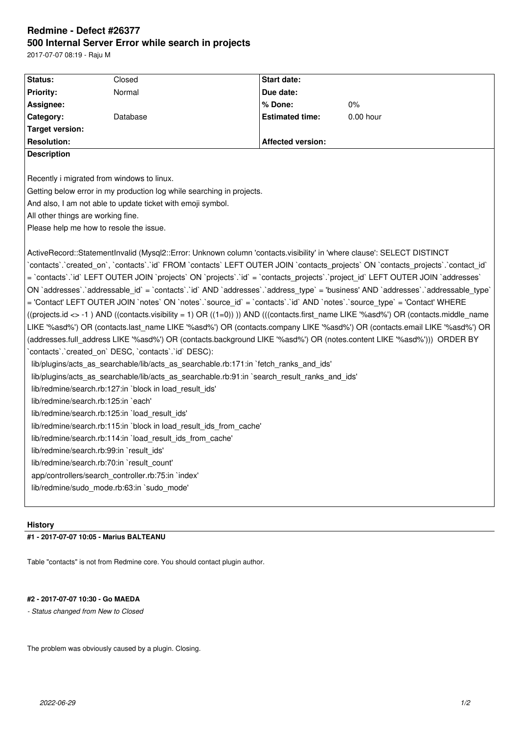# **Redmine - Defect #26377 500 Internal Server Error while search in projects**

2017-07-07 08:19 - Raju M

| Status:                                                                                                                            | Closed   | Start date:              |             |
|------------------------------------------------------------------------------------------------------------------------------------|----------|--------------------------|-------------|
| <b>Priority:</b>                                                                                                                   | Normal   | Due date:                |             |
| Assignee:                                                                                                                          |          | % Done:                  | 0%          |
| Category:                                                                                                                          | Database | <b>Estimated time:</b>   | $0.00$ hour |
| <b>Target version:</b>                                                                                                             |          |                          |             |
| <b>Resolution:</b>                                                                                                                 |          | <b>Affected version:</b> |             |
| <b>Description</b>                                                                                                                 |          |                          |             |
|                                                                                                                                    |          |                          |             |
| Recently i migrated from windows to linux.                                                                                         |          |                          |             |
| Getting below error in my production log while searching in projects.                                                              |          |                          |             |
| And also, I am not able to update ticket with emoji symbol.                                                                        |          |                          |             |
| All other things are working fine.                                                                                                 |          |                          |             |
| Please help me how to resole the issue.                                                                                            |          |                          |             |
|                                                                                                                                    |          |                          |             |
| ActiveRecord::StatementInvalid (Mysql2::Error: Unknown column 'contacts.visibility' in 'where clause': SELECT DISTINCT             |          |                          |             |
| `contacts`.`created on`, `contacts`.`id` FROM `contacts` LEFT OUTER JOIN `contacts projects` ON `contacts projects`.`contact id`   |          |                          |             |
| = `contacts`.`id` LEFT OUTER JOIN `projects` ON `projects`.`id` = `contacts projects`.`project id` LEFT OUTER JOIN `addresses`     |          |                          |             |
| ON `addresses`.`addressable_id` = `contacts`.`id` AND `addresses`.`address_type` = 'business' AND `addresses`.`addressable_type`   |          |                          |             |
| = 'Contact' LEFT OUTER JOIN `notes` ON `notes` `source id` = `contacts` `id` AND `notes` `source type` = 'Contact' WHERE           |          |                          |             |
| ((projects.id <> -1) AND ((contacts.visibility = 1) OR ((1=0)))) AND (((contacts.first_name LIKE '%asd%') OR (contacts.middle_name |          |                          |             |
| LIKE '%asd%') OR (contacts.last name LIKE '%asd%') OR (contacts.company LIKE '%asd%') OR (contacts.email LIKE '%asd%') OR          |          |                          |             |
| (addresses.full_address LIKE '%asd%') OR (contacts.background LIKE '%asd%') OR (notes.content LIKE '%asd%'))) ORDER BY             |          |                          |             |
| contacts'.'created_on' DESC, 'contacts'.'id' DESC):                                                                                |          |                          |             |
| lib/plugins/acts_as_searchable/lib/acts_as_searchable.rb:171:in `fetch_ranks_and_ids'                                              |          |                          |             |
| lib/plugins/acts_as_searchable/lib/acts_as_searchable.rb:91:in `search_result_ranks_and_ids'                                       |          |                          |             |
| lib/redmine/search.rb:127:in `block in load_result_ids'                                                                            |          |                          |             |
| lib/redmine/search.rb:125:in `each'                                                                                                |          |                          |             |
| lib/redmine/search.rb:125:in `load result ids'                                                                                     |          |                          |             |
| lib/redmine/search.rb:115:in `block in load_result_ids_from_cache'                                                                 |          |                          |             |
| lib/redmine/search.rb:114:in `load_result_ids_from_cache'                                                                          |          |                          |             |
| lib/redmine/search.rb:99:in `result_ids'                                                                                           |          |                          |             |
| lib/redmine/search.rb:70:in `result count'                                                                                         |          |                          |             |
| app/controllers/search_controller.rb:75:in `index'                                                                                 |          |                          |             |
| lib/redmine/sudo mode.rb:63:in `sudo mode'                                                                                         |          |                          |             |
|                                                                                                                                    |          |                          |             |

#### **History**

## **#1 - 2017-07-07 10:05 - Marius BALTEANU**

Table "contacts" is not from Redmine core. You should contact plugin author.

## **#2 - 2017-07-07 10:30 - Go MAEDA**

*- Status changed from New to Closed*

The problem was obviously caused by a plugin. Closing.